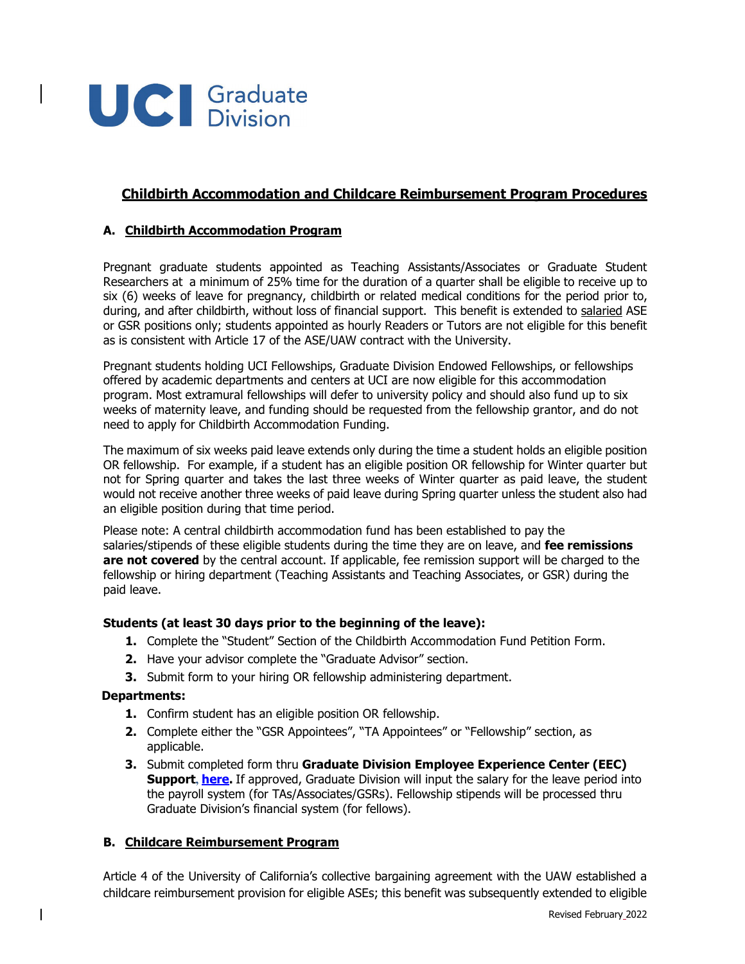

# **Childbirth Accommodation and Childcare Reimbursement Program Procedures**

### **A. Childbirth Accommodation Program**

Pregnant graduate students appointed as Teaching Assistants/Associates or Graduate Student Researchers at a minimum of 25% time for the duration of a quarter shall be eligible to receive up to six (6) weeks of leave for pregnancy, childbirth or related medical conditions for the period prior to, during, and after childbirth, without loss of financial support. This benefit is extended to salaried ASE or GSR positions only; students appointed as hourly Readers or Tutors are not eligible for this benefit as is consistent with Article 17 of the ASE/UAW contract with the University.

Pregnant students holding UCI Fellowships, Graduate Division Endowed Fellowships, or fellowships offered by academic departments and centers at UCI are now eligible for this accommodation program. Most extramural fellowships will defer to university policy and should also fund up to six weeks of maternity leave, and funding should be requested from the fellowship grantor, and do not need to apply for Childbirth Accommodation Funding.

The maximum of six weeks paid leave extends only during the time a student holds an eligible position OR fellowship. For example, if a student has an eligible position OR fellowship for Winter quarter but not for Spring quarter and takes the last three weeks of Winter quarter as paid leave, the student would not receive another three weeks of paid leave during Spring quarter unless the student also had an eligible position during that time period.

Please note: A central childbirth accommodation fund has been established to pay the salaries/stipends of these eligible students during the time they are on leave, and **fee remissions are not covered** by the central account. If applicable, fee remission support will be charged to the fellowship or hiring department (Teaching Assistants and Teaching Associates, or GSR) during the paid leave.

#### **Students (at least 30 days prior to the beginning of the leave):**

- **1.** Complete the "Student" Section of the Childbirth Accommodation Fund Petition Form.
- **2.** Have your advisor complete the "Graduate Advisor" section.
- **3.** Submit form to your hiring OR fellowship administering department.

#### **Departments:**

- **1.** Confirm student has an eligible position OR fellowship.
- **2.** Complete either the "GSR Appointees", "TA Appointees" or "Fellowship" section, as applicable.
- **3.** Submit completed form thru **Graduate Division Employee Experience Center (EEC) Support, [here.](https://uci.service-now.com/eec?id=sc_cat_item&sys_id=e6d91eb21b126c1037efca262a4bcb5e&sysparm_category=abc78de49f331200d9011977677fcfb2&catalog_id=-1)** If approved, Graduate Division will input the salary for the leave period into the payroll system (for TAs/Associates/GSRs). Fellowship stipends will be processed thru Graduate Division's financial system (for fellows).

#### **B. Childcare Reimbursement Program**

Article 4 of the University of California's collective bargaining agreement with the UAW established a childcare reimbursement provision for eligible ASEs; this benefit was subsequently extended to eligible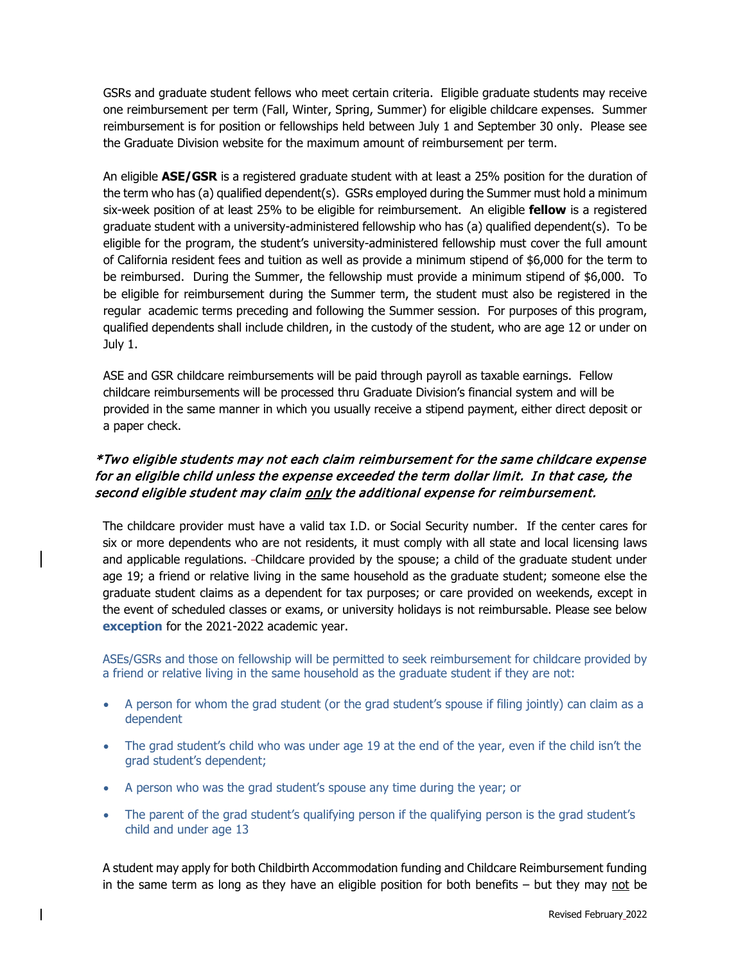GSRs and graduate student fellows who meet certain criteria. Eligible graduate students may receive one reimbursement per term (Fall, Winter, Spring, Summer) for eligible childcare expenses. Summer reimbursement is for position or fellowships held between July 1 and September 30 only. Please see the Graduate Division website for the maximum amount of reimbursement per term.

An eligible **ASE/GSR** is a registered graduate student with at least a 25% position for the duration of the term who has (a) qualified dependent(s). GSRs employed during the Summer must hold a minimum six-week position of at least 25% to be eligible for reimbursement. An eligible **fellow** is a registered graduate student with a university-administered fellowship who has (a) qualified dependent(s). To be eligible for the program, the student's university-administered fellowship must cover the full amount of California resident fees and tuition as well as provide a minimum stipend of \$6,000 for the term to be reimbursed. During the Summer, the fellowship must provide a minimum stipend of \$6,000. To be eligible for reimbursement during the Summer term, the student must also be registered in the regular academic terms preceding and following the Summer session. For purposes of this program, qualified dependents shall include children, in the custody of the student, who are age 12 or under on July 1.

ASE and GSR childcare reimbursements will be paid through payroll as taxable earnings. Fellow childcare reimbursements will be processed thru Graduate Division's financial system and will be provided in the same manner in which you usually receive a stipend payment, either direct deposit or a paper check.

# \*Two eligible students may not each claim reimbursement for the same childcare expense for an eligible child unless the expense exceeded the term dollar limit. In that case, the second eligible student may claim only the additional expense for reimbursement.

The childcare provider must have a valid tax I.D. or Social Security number. If the center cares for six or more dependents who are not residents, it must comply with all state and local licensing laws and applicable regulations. Childcare provided by the spouse; a child of the graduate student under age 19; a friend or relative living in the same household as the graduate student; someone else the graduate student claims as a dependent for tax purposes; or care provided on weekends, except in the event of scheduled classes or exams, or university holidays is not reimbursable. Please see below **exception** for the 2021-2022 academic year.

ASEs/GSRs and those on fellowship will be permitted to seek reimbursement for childcare provided by a friend or relative living in the same household as the graduate student if they are not:

- A person for whom the grad student (or the grad student's spouse if filing jointly) can claim as a dependent
- The grad student's child who was under age 19 at the end of the year, even if the child isn't the grad student's dependent;
- A person who was the grad student's spouse any time during the year; or
- The parent of the grad student's qualifying person if the qualifying person is the grad student's child and under age 13

A student may apply for both Childbirth Accommodation funding and Childcare Reimbursement funding in the same term as long as they have an eligible position for both benefits  $-$  but they may not be